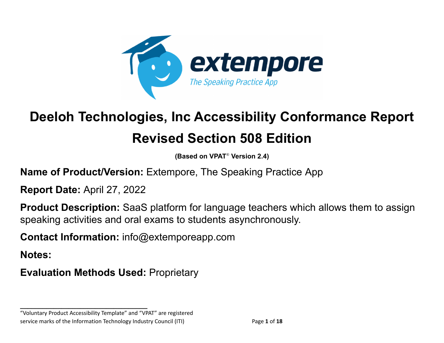

# **Deeloh Technologies, Inc Accessibility Conformance Report Revised Section 508 Edition**

**(Based on VPAT** ® **Version 2.4)**

**Name of Product/Version:** Extempore, The Speaking Practice App

**Report Date:** April 27, 2022

**Product Description:** SaaS platform for language teachers which allows them to assign speaking activities and oral exams to students asynchronously.

**Contact Information:** info@extemporeapp.com

**Notes:**

**Evaluation Methods Used:** Proprietary

"Voluntary Product Accessibility Template" and "VPAT" are registered service marks of the Information Technology Industry Council (ITI) Page **1** of **18**

**\_\_\_\_\_\_\_\_\_\_\_\_\_\_\_\_\_\_\_\_\_\_\_\_\_\_\_\_\_\_\_\_\_\_**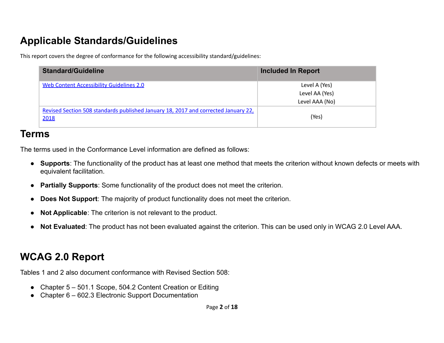## **Applicable Standards/Guidelines**

This report covers the degree of conformance for the following accessibility standard/guidelines:

| <b>Standard/Guideline</b>                                                                  | <b>Included In Report</b> |
|--------------------------------------------------------------------------------------------|---------------------------|
| <b>Web Content Accessibility Guidelines 2.0</b>                                            | Level A (Yes)             |
|                                                                                            | Level AA (Yes)            |
|                                                                                            | Level AAA (No)            |
| Revised Section 508 standards published January 18, 2017 and corrected January 22,<br>2018 | (Yes)                     |

#### **Terms**

The terms used in the Conformance Level information are defined as follows:

- **Supports**: The functionality of the product has at least one method that meets the criterion without known defects or meets with equivalent facilitation.
- **Partially Supports**: Some functionality of the product does not meet the criterion.
- **Does Not Support**: The majority of product functionality does not meet the criterion.
- **Not Applicable**: The criterion is not relevant to the product.
- **Not Evaluated**: The product has not been evaluated against the criterion. This can be used only in WCAG 2.0 Level AAA.

## **WCAG 2.0 Report**

Tables 1 and 2 also document conformance with Revised Section 508:

- Chapter 5 501.1 Scope, 504.2 Content Creation or Editing
- Chapter 6 602.3 Electronic Support Documentation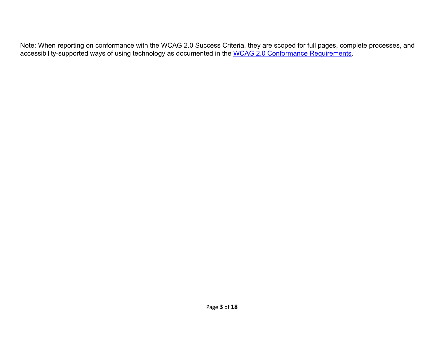Note: When reporting on conformance with the WCAG 2.0 Success Criteria, they are scoped for full pages, complete processes, and accessibility-supported ways of using technology as documented in the [WCAG 2.0 Conformance Requirements.](https://www.w3.org/TR/WCAG20/#conformance-reqs)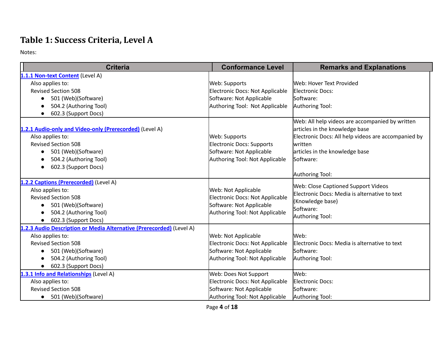## **Table 1: Success Criteria, Level A**

| <b>Criteria</b>                                                      | <b>Conformance Level</b>               | <b>Remarks and Explanations</b>                     |
|----------------------------------------------------------------------|----------------------------------------|-----------------------------------------------------|
| 1.1.1 Non-text Content (Level A)                                     |                                        |                                                     |
| Also applies to:                                                     | Web: Supports                          | Web: Hover Text Provided                            |
| <b>Revised Section 508</b>                                           | <b>Electronic Docs: Not Applicable</b> | <b>Electronic Docs:</b>                             |
| 501 (Web)(Software)<br>$\bullet$                                     | Software: Not Applicable               | Software:                                           |
| 504.2 (Authoring Tool)                                               | Authoring Tool: Not Applicable         | Authoring Tool:                                     |
| 602.3 (Support Docs)<br>$\bullet$                                    |                                        |                                                     |
|                                                                      |                                        | Web: All help videos are accompanied by written     |
| 1.2.1 Audio-only and Video-only (Prerecorded) (Level A)              |                                        | articles in the knowledge base                      |
| Also applies to:                                                     | Web: Supports                          | Electronic Docs: All help videos are accompanied by |
| <b>Revised Section 508</b>                                           | <b>Electronic Docs: Supports</b>       | written                                             |
| 501 (Web)(Software)                                                  | Software: Not Applicable               | articles in the knowledge base                      |
| 504.2 (Authoring Tool)                                               | Authoring Tool: Not Applicable         | Software:                                           |
| 602.3 (Support Docs)                                                 |                                        |                                                     |
|                                                                      |                                        | Authoring Tool:                                     |
| 1.2.2 Captions (Prerecorded) (Level A)                               |                                        | Web: Close Captioned Support Videos                 |
| Also applies to:                                                     | Web: Not Applicable                    | Electronic Docs: Media is alternative to text       |
| <b>Revised Section 508</b>                                           | Electronic Docs: Not Applicable        | (Knowledge base)                                    |
| 501 (Web)(Software)                                                  | Software: Not Applicable               | Software:                                           |
| 504.2 (Authoring Tool)                                               | Authoring Tool: Not Applicable         | Authoring Tool:                                     |
| 602.3 (Support Docs)                                                 |                                        |                                                     |
| 1.2.3 Audio Description or Media Alternative (Prerecorded) (Level A) |                                        |                                                     |
| Also applies to:                                                     | Web: Not Applicable                    | Web:                                                |
| <b>Revised Section 508</b>                                           | Electronic Docs: Not Applicable        | Electronic Docs: Media is alternative to text       |
| 501 (Web)(Software)<br>$\bullet$                                     | Software: Not Applicable               | Software:                                           |
| 504.2 (Authoring Tool)                                               | Authoring Tool: Not Applicable         | Authoring Tool:                                     |
| 602.3 (Support Docs)                                                 |                                        |                                                     |
| 1.3.1 Info and Relationships (Level A)                               | Web: Does Not Support                  | Web:                                                |
| Also applies to:                                                     | Electronic Docs: Not Applicable        | <b>Electronic Docs:</b>                             |
| <b>Revised Section 508</b>                                           | Software: Not Applicable               | Software:                                           |
| 501 (Web)(Software)<br>$\bullet$                                     | Authoring Tool: Not Applicable         | Authoring Tool:                                     |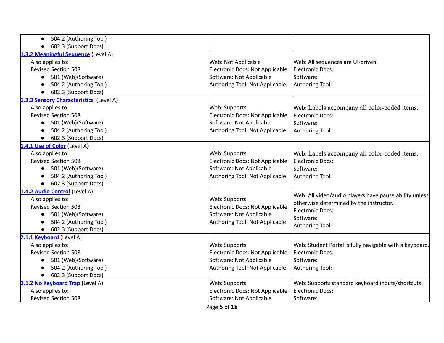| 504.2 (Authoring Tool)                  |                                        |                                                         |
|-----------------------------------------|----------------------------------------|---------------------------------------------------------|
| 602.3 (Support Docs)<br>$\bullet$       |                                        |                                                         |
| 1.3.2 Meaningful Sequence (Level A)     |                                        |                                                         |
| Also applies to:                        | Web: Not Applicable                    | Web: All sequences are UI-driven.                       |
| <b>Revised Section 508</b>              | Electronic Docs: Not Applicable        | Electronic Docs:                                        |
| 501 (Web)(Software)<br>$\bullet$        | Software: Not Applicable               | Software:                                               |
| 504.2 (Authoring Tool)                  | Authoring Tool: Not Applicable         | Authoring Tool:                                         |
| 602.3 (Support Docs)                    |                                        |                                                         |
| 1.3.3 Sensory Characteristics (Level A) |                                        |                                                         |
| Also applies to:                        | Web: Supports                          | Web: Labels accompany all color-coded items.            |
| <b>Revised Section 508</b>              | Electronic Docs: Not Applicable        | Electronic Docs:                                        |
| 501 (Web)(Software)<br>$\bullet$        | Software: Not Applicable               | Software:                                               |
| 504.2 (Authoring Tool)                  | Authoring Tool: Not Applicable         | Authoring Tool:                                         |
| 602.3 (Support Docs)                    |                                        |                                                         |
| 1.4.1 Use of Color (Level A)            |                                        |                                                         |
| Also applies to:                        | Web: Supports                          | Web: Labels accompany all color-coded items.            |
| <b>Revised Section 508</b>              | <b>Electronic Docs: Not Applicable</b> | Electronic Docs:                                        |
| 501 (Web)(Software)<br>$\bullet$        | Software: Not Applicable               | Software:                                               |
| 504.2 (Authoring Tool)                  | Authoring Tool: Not Applicable         | Authoring Tool:                                         |
| 602.3 (Support Docs)<br>$\bullet$       |                                        |                                                         |
| 1.4.2 Audio Control (Level A)           |                                        | Web: All video/audio players have pause ability unless  |
| Also applies to:                        | Web: Supports                          | otherwise determined by the instructor.                 |
| <b>Revised Section 508</b>              | Electronic Docs: Not Applicable        | <b>Electronic Docs:</b>                                 |
| 501 (Web)(Software)                     | Software: Not Applicable               | Software:                                               |
| 504.2 (Authoring Tool)                  | Authoring Tool: Not Applicable         | Authoring Tool:                                         |
| 602.3 (Support Docs)                    |                                        |                                                         |
| 2.1.1 Keyboard (Level A)                |                                        |                                                         |
| Also applies to:                        | <b>Web: Supports</b>                   | Web: Student Portal is fully navigable with a keyboard. |
| <b>Revised Section 508</b>              | Electronic Docs: Not Applicable        | Electronic Docs:                                        |
| 501 (Web)(Software)                     | Software: Not Applicable               | Software:                                               |
| 504.2 (Authoring Tool)                  | Authoring Tool: Not Applicable         | Authoring Tool:                                         |
| 602.3 (Support Docs)                    |                                        |                                                         |
| 2.1.2 No Keyboard Trap (Level A)        | Web: Supports                          | Web: Supports standard keyboard inputs/shortcuts.       |
| Also applies to:                        | Electronic Docs: Not Applicable        | Electronic Docs:                                        |
| <b>Revised Section 508</b>              | Software: Not Applicable               | Software:                                               |
|                                         |                                        |                                                         |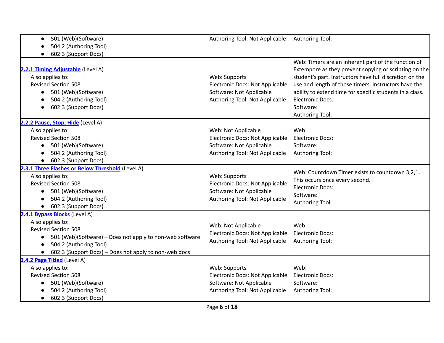| 501 (Web)(Software)                                                                                                                                                                                                                         | Authoring Tool: Not Applicable                                                                                       | Authoring Tool:                                                                                                                                                                                                                                                                                                                                 |
|---------------------------------------------------------------------------------------------------------------------------------------------------------------------------------------------------------------------------------------------|----------------------------------------------------------------------------------------------------------------------|-------------------------------------------------------------------------------------------------------------------------------------------------------------------------------------------------------------------------------------------------------------------------------------------------------------------------------------------------|
| 504.2 (Authoring Tool)                                                                                                                                                                                                                      |                                                                                                                      |                                                                                                                                                                                                                                                                                                                                                 |
| 602.3 (Support Docs)                                                                                                                                                                                                                        |                                                                                                                      |                                                                                                                                                                                                                                                                                                                                                 |
| 2.2.1 Timing Adjustable (Level A)<br>Also applies to:<br><b>Revised Section 508</b><br>501 (Web)(Software)<br>504.2 (Authoring Tool)<br>602.3 (Support Docs)                                                                                | Web: Supports<br>Electronic Docs: Not Applicable<br>Software: Not Applicable<br>Authoring Tool: Not Applicable       | Web: Timers are an inherent part of the function of<br>Extempore as they prevent copying or scripting on the<br>student's part. Instructors have full discretion on the<br>use and length of those timers. Instructors have the<br>ability to extend time for specific students in a class.<br>Electronic Docs:<br>Software:<br>Authoring Tool: |
| 2.2.2 Pause, Stop, Hide (Level A)<br>Also applies to:<br><b>Revised Section 508</b><br>501 (Web)(Software)<br>504.2 (Authoring Tool)<br>602.3 (Support Docs)<br>$\bullet$                                                                   | Web: Not Applicable<br>Electronic Docs: Not Applicable<br>Software: Not Applicable<br>Authoring Tool: Not Applicable | Web:<br>Electronic Docs:<br>Software:<br>Authoring Tool:                                                                                                                                                                                                                                                                                        |
| 2.3.1 Three Flashes or Below Threshold (Level A)<br>Also applies to:<br><b>Revised Section 508</b><br>501 (Web)(Software)<br>504.2 (Authoring Tool)<br>602.3 (Support Docs)                                                                 | Web: Supports<br>Electronic Docs: Not Applicable<br>Software: Not Applicable<br>Authoring Tool: Not Applicable       | Web: Countdown Timer exists to countdown 3,2,1.<br>This occurs once every second.<br><b>Electronic Docs:</b><br>Software:<br>Authoring Tool:                                                                                                                                                                                                    |
| 2.4.1 Bypass Blocks (Level A)<br>Also applies to:<br><b>Revised Section 508</b><br>501 (Web)(Software) - Does not apply to non-web software<br>504.2 (Authoring Tool)<br>602.3 (Support Docs) – Does not apply to non-web docs<br>$\bullet$ | Web: Not Applicable<br>Electronic Docs: Not Applicable<br>Authoring Tool: Not Applicable                             | Web:<br>Electronic Docs:<br>Authoring Tool:                                                                                                                                                                                                                                                                                                     |
| 2.4.2 Page Titled (Level A)<br>Also applies to:<br><b>Revised Section 508</b><br>501 (Web)(Software)<br>504.2 (Authoring Tool)<br>602.3 (Support Docs)<br>$\bullet$                                                                         | Web: Supports<br>Electronic Docs: Not Applicable<br>Software: Not Applicable<br>Authoring Tool: Not Applicable       | Web:<br>Electronic Docs:<br>Software:<br>Authoring Tool:                                                                                                                                                                                                                                                                                        |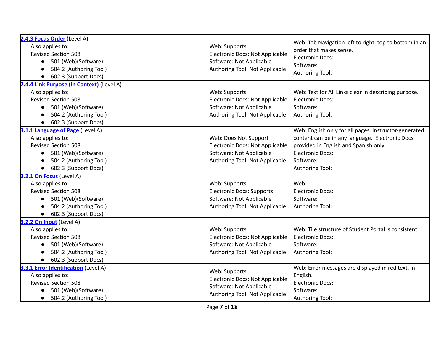| 2.4.3 Focus Order (Level A)<br>Also applies to:<br><b>Revised Section 508</b><br>501 (Web)(Software)<br>$\bullet$<br>504.2 (Authoring Tool)<br>602.3 (Support Docs)                            | Web: Supports<br>Electronic Docs: Not Applicable<br>Software: Not Applicable<br>Authoring Tool: Not Applicable         | Web: Tab Navigation left to right, top to bottom in an<br>order that makes sense.<br>Electronic Docs:<br>Software:<br>Authoring Tool:                                                                |
|------------------------------------------------------------------------------------------------------------------------------------------------------------------------------------------------|------------------------------------------------------------------------------------------------------------------------|------------------------------------------------------------------------------------------------------------------------------------------------------------------------------------------------------|
| 2.4.4 Link Purpose (In Context) (Level A)<br>Also applies to:<br><b>Revised Section 508</b><br>501 (Web)(Software)<br>$\bullet$<br>504.2 (Authoring Tool)<br>602.3 (Support Docs)<br>$\bullet$ | Web: Supports<br>Electronic Docs: Not Applicable<br>Software: Not Applicable<br>Authoring Tool: Not Applicable         | Web: Text for All Links clear in describing purpose.<br>Electronic Docs:<br>Software:<br>Authoring Tool:                                                                                             |
| 3.1.1 Language of Page (Level A)<br>Also applies to:<br><b>Revised Section 508</b><br>501 (Web)(Software)<br>$\bullet$<br>504.2 (Authoring Tool)<br>602.3 (Support Docs)<br>$\bullet$          | Web: Does Not Support<br>Electronic Docs: Not Applicable<br>Software: Not Applicable<br>Authoring Tool: Not Applicable | Web: English only for all pages. Instructor-generated<br>content can be in any language. Electronic Docs<br>provided in English and Spanish only<br>Electronic Docs:<br>Software:<br>Authoring Tool: |
| 3.2.1 On Focus (Level A)<br>Also applies to:<br><b>Revised Section 508</b><br>501 (Web)(Software)<br>$\bullet$<br>504.2 (Authoring Tool)<br>602.3 (Support Docs)                               | Web: Supports<br>Electronic Docs: Supports<br>Software: Not Applicable<br>Authoring Tool: Not Applicable               | Web:<br>Electronic Docs:<br>Software:<br>Authoring Tool:                                                                                                                                             |
| 3.2.2 On Input (Level A)<br>Also applies to:<br><b>Revised Section 508</b><br>501 (Web)(Software)<br>$\bullet$<br>504.2 (Authoring Tool)<br>602.3 (Support Docs)                               | Web: Supports<br>Electronic Docs: Not Applicable<br>Software: Not Applicable<br>Authoring Tool: Not Applicable         | Web: Tile structure of Student Portal is consistent.<br>Electronic Docs:<br>Software:<br>Authoring Tool:                                                                                             |
| 3.3.1 Error Identification (Level A)<br>Also applies to:<br><b>Revised Section 508</b><br>501 (Web)(Software)<br>504.2 (Authoring Tool)<br>$\bullet$                                           | Web: Supports<br>Electronic Docs: Not Applicable<br>Software: Not Applicable<br>Authoring Tool: Not Applicable         | Web: Error messages are displayed in red text, in<br>English.<br>Electronic Docs:<br>Software:<br>Authoring Tool:                                                                                    |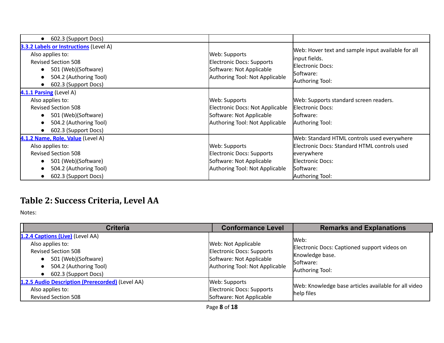| 602.3 (Support Docs)<br>$\bullet$                                                                                                                                                                               |                                                                                                                       |                                                                                                                                                                      |
|-----------------------------------------------------------------------------------------------------------------------------------------------------------------------------------------------------------------|-----------------------------------------------------------------------------------------------------------------------|----------------------------------------------------------------------------------------------------------------------------------------------------------------------|
| <b>3.3.2 Labels or Instructions (Level A)</b><br>Also applies to:<br><b>Revised Section 508</b><br>501 (Web)(Software)<br>$\bullet$<br>504.2 (Authoring Tool)<br>$\bullet$<br>602.3 (Support Docs)<br>$\bullet$ | Web: Supports<br><b>Electronic Docs: Supports</b><br>Software: Not Applicable<br>Authoring Tool: Not Applicable       | Web: Hover text and sample input available for all<br>input fields.<br>Electronic Docs:<br>Software:<br>Authoring Tool:                                              |
| 4.1.1 Parsing (Level A)<br>Also applies to:<br><b>Revised Section 508</b><br>501 (Web)(Software)<br>$\bullet$<br>504.2 (Authoring Tool)<br>$\bullet$<br>602.3 (Support Docs)                                    | Web: Supports<br><b>Electronic Docs: Not Applicable</b><br>Software: Not Applicable<br>Authoring Tool: Not Applicable | Web: Supports standard screen readers.<br>Electronic Docs:<br>Software:<br>Authoring Tool:                                                                           |
| 4.1.2 Name, Role, Value (Level A)<br>Also applies to:<br><b>Revised Section 508</b><br>501 (Web)(Software)<br>504.2 (Authoring Tool)<br>$\bullet$<br>602.3 (Support Docs)<br>$\bullet$                          | Web: Supports<br>Electronic Docs: Supports<br>Software: Not Applicable<br>Authoring Tool: Not Applicable              | Web: Standard HTML controls used everywhere<br>Electronic Docs: Standard HTML controls used<br>everywhere<br><b>Electronic Docs:</b><br>Software:<br>Authoring Tool: |

## **Table 2: Success Criteria, Level AA**

| <b>Criteria</b>                                                                                                                                             | <b>Conformance Level</b>                                                                                       | <b>Remarks and Explanations</b>                                                                         |
|-------------------------------------------------------------------------------------------------------------------------------------------------------------|----------------------------------------------------------------------------------------------------------------|---------------------------------------------------------------------------------------------------------|
| 1.2.4 Captions (Live) (Level AA)<br>Also applies to:<br><b>Revised Section 508</b><br>501 (Web)(Software)<br>504.2 (Authoring Tool)<br>602.3 (Support Docs) | Web: Not Applicable<br>Electronic Docs: Supports<br>Software: Not Applicable<br>Authoring Tool: Not Applicable | Web:<br>Electronic Docs: Captioned support videos on<br>Knowledge base.<br>Software:<br>Authoring Tool: |
| 1.2.5 Audio Description (Prerecorded) (Level AA)<br>Also applies to:<br><b>Revised Section 508</b>                                                          | Web: Supports<br>Electronic Docs: Supports<br>Software: Not Applicable                                         | Web: Knowledge base articles available for all video<br>help files                                      |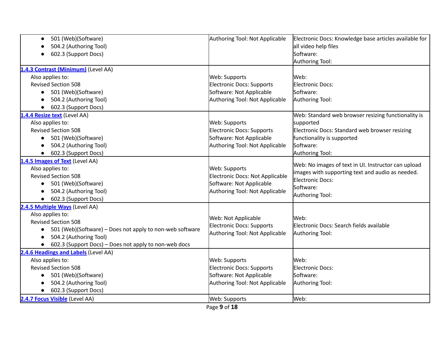| 501 (Web)(Software)<br>$\bullet$                                   | Authoring Tool: Not Applicable   | Electronic Docs: Knowledge base articles available for |
|--------------------------------------------------------------------|----------------------------------|--------------------------------------------------------|
| 504.2 (Authoring Tool)                                             |                                  | all video help files                                   |
| 602.3 (Support Docs)                                               |                                  | Software:                                              |
|                                                                    |                                  | Authoring Tool:                                        |
| 1.4.3 Contrast (Minimum) (Level AA)                                |                                  |                                                        |
| Also applies to:                                                   | Web: Supports                    | Web:                                                   |
| <b>Revised Section 508</b>                                         | <b>Electronic Docs: Supports</b> | Electronic Docs:                                       |
| 501 (Web)(Software)<br>$\bullet$                                   | Software: Not Applicable         | Software:                                              |
| 504.2 (Authoring Tool)                                             | Authoring Tool: Not Applicable   | Authoring Tool:                                        |
| 602.3 (Support Docs)                                               |                                  |                                                        |
| 1.4.4 Resize text (Level AA)                                       |                                  | Web: Standard web browser resizing functionality is    |
| Also applies to:                                                   | Web: Supports                    | supported                                              |
| <b>Revised Section 508</b>                                         | <b>Electronic Docs: Supports</b> | Electronic Docs: Standard web browser resizing         |
| 501 (Web)(Software)<br>$\bullet$                                   | Software: Not Applicable         | functionality is supported                             |
| 504.2 (Authoring Tool)                                             | Authoring Tool: Not Applicable   | Software:                                              |
| 602.3 (Support Docs)                                               |                                  | Authoring Tool:                                        |
| 1.4.5 Images of Text (Level AA)                                    |                                  | Web: No images of text in UI. Instructor can upload    |
| Also applies to:                                                   | Web: Supports                    | images with supporting text and audio as needed.       |
| <b>Revised Section 508</b>                                         | Electronic Docs: Not Applicable  | Electronic Docs:                                       |
| 501 (Web)(Software)<br>$\bullet$                                   | Software: Not Applicable         | Software:                                              |
| 504.2 (Authoring Tool)                                             | Authoring Tool: Not Applicable   | Authoring Tool:                                        |
| 602.3 (Support Docs)                                               |                                  |                                                        |
| 2.4.5 Multiple Ways (Level AA)                                     |                                  |                                                        |
| Also applies to:                                                   | Web: Not Applicable              | Web:                                                   |
| <b>Revised Section 508</b>                                         | Electronic Docs: Supports        | Electronic Docs: Search fields available               |
| 501 (Web)(Software) - Does not apply to non-web software           | Authoring Tool: Not Applicable   | Authoring Tool:                                        |
| 504.2 (Authoring Tool)                                             |                                  |                                                        |
| 602.3 (Support Docs) - Does not apply to non-web docs<br>$\bullet$ |                                  |                                                        |
| 2.4.6 Headings and Labels (Level AA)                               |                                  |                                                        |
| Also applies to:                                                   | Web: Supports                    | Web:                                                   |
| <b>Revised Section 508</b>                                         | <b>Electronic Docs: Supports</b> | Electronic Docs:                                       |
| 501 (Web)(Software)                                                | Software: Not Applicable         | Software:                                              |
| 504.2 (Authoring Tool)                                             | Authoring Tool: Not Applicable   | Authoring Tool:                                        |
| 602.3 (Support Docs)                                               |                                  |                                                        |
| 2.4.7 Focus Visible (Level AA)                                     | Web: Supports                    | Web:                                                   |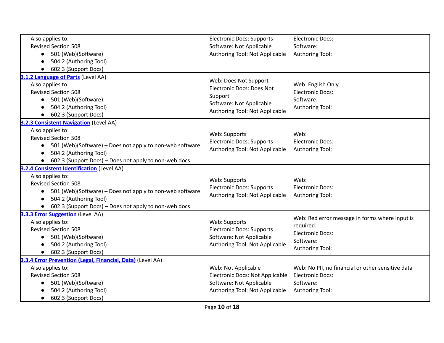| Also applies to:                                                      | <b>Electronic Docs: Supports</b>                   | Electronic Docs:                                  |
|-----------------------------------------------------------------------|----------------------------------------------------|---------------------------------------------------|
| <b>Revised Section 508</b>                                            | Software: Not Applicable                           | Software:                                         |
| • 501 (Web)(Software)                                                 | Authoring Tool: Not Applicable                     | Authoring Tool:                                   |
| 504.2 (Authoring Tool)                                                |                                                    |                                                   |
| 602.3 (Support Docs)                                                  |                                                    |                                                   |
| 3.1.2 Language of Parts (Level AA)                                    |                                                    |                                                   |
| Also applies to:                                                      | Web: Does Not Support<br>Electronic Docs: Does Not | Web: English Only                                 |
| <b>Revised Section 508</b>                                            | Support                                            | Electronic Docs:                                  |
| 501 (Web)(Software)<br>$\bullet$                                      | Software: Not Applicable                           | Software:                                         |
| 504.2 (Authoring Tool)                                                | Authoring Tool: Not Applicable                     | Authoring Tool:                                   |
| 602.3 (Support Docs)                                                  |                                                    |                                                   |
| <b>3.2.3 Consistent Navigation (Level AA)</b>                         |                                                    |                                                   |
| Also applies to:                                                      | Web: Supports                                      | Web:                                              |
| <b>Revised Section 508</b>                                            | Electronic Docs: Supports                          | Electronic Docs:                                  |
| 501 (Web)(Software) - Does not apply to non-web software<br>$\bullet$ | Authoring Tool: Not Applicable                     | Authoring Tool:                                   |
| 504.2 (Authoring Tool)                                                |                                                    |                                                   |
| 602.3 (Support Docs) - Does not apply to non-web docs<br>$\bullet$    |                                                    |                                                   |
| <b>3.2.4 Consistent Identification (Level AA)</b>                     |                                                    |                                                   |
| Also applies to:                                                      | Web: Supports                                      | Web:                                              |
| <b>Revised Section 508</b>                                            | Electronic Docs: Supports                          | <b>Electronic Docs:</b>                           |
| 501 (Web)(Software) - Does not apply to non-web software              | Authoring Tool: Not Applicable                     | Authoring Tool:                                   |
| 504.2 (Authoring Tool)                                                |                                                    |                                                   |
| 602.3 (Support Docs) - Does not apply to non-web docs                 |                                                    |                                                   |
| 3.3.3 Error Suggestion (Level AA)                                     |                                                    | Web: Red error message in forms where input is    |
| Also applies to:                                                      | Web: Supports                                      | required.                                         |
| <b>Revised Section 508</b>                                            | <b>Electronic Docs: Supports</b>                   | Electronic Docs:                                  |
| 501 (Web)(Software)                                                   | Software: Not Applicable                           | Software:                                         |
| 504.2 (Authoring Tool)                                                | Authoring Tool: Not Applicable                     | Authoring Tool:                                   |
| 602.3 (Support Docs)                                                  |                                                    |                                                   |
| 3.3.4 Error Prevention (Legal, Financial, Data) (Level AA)            |                                                    |                                                   |
| Also applies to:                                                      | Web: Not Applicable                                | Web: No PII, no financial or other sensitive data |
| <b>Revised Section 508</b>                                            | Electronic Docs: Not Applicable                    | Electronic Docs:                                  |
| 501 (Web)(Software)                                                   | Software: Not Applicable                           | Software:                                         |
| 504.2 (Authoring Tool)                                                | Authoring Tool: Not Applicable                     | Authoring Tool:                                   |
| 602.3 (Support Docs)<br>$\bullet$                                     |                                                    |                                                   |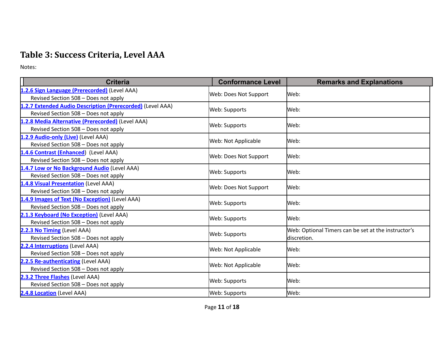## **Table 3: Success Criteria, Level AAA**

| <b>Criteria</b>                                            | <b>Conformance Level</b> | <b>Remarks and Explanations</b>                     |  |
|------------------------------------------------------------|--------------------------|-----------------------------------------------------|--|
| 1.2.6 Sign Language (Prerecorded) (Level AAA)              |                          |                                                     |  |
| Revised Section 508 - Does not apply                       | Web: Does Not Support    | Web:                                                |  |
| 1.2.7 Extended Audio Description (Prerecorded) (Level AAA) |                          | Web:                                                |  |
| Revised Section 508 - Does not apply                       | Web: Supports            |                                                     |  |
| 1.2.8 Media Alternative (Prerecorded) (Level AAA)          |                          | Web:                                                |  |
| Revised Section 508 - Does not apply                       | Web: Supports            |                                                     |  |
| 1.2.9 Audio-only (Live) (Level AAA)                        |                          | Web:                                                |  |
| Revised Section 508 - Does not apply                       | Web: Not Applicable      |                                                     |  |
| 1.4.6 Contrast (Enhanced) (Level AAA)                      | Web: Does Not Support    | Web:                                                |  |
| Revised Section 508 - Does not apply                       |                          |                                                     |  |
| 1.4.7 Low or No Background Audio (Level AAA)               | Web: Supports            | Web:                                                |  |
| Revised Section 508 - Does not apply                       |                          |                                                     |  |
| 1.4.8 Visual Presentation (Level AAA)                      | Web: Does Not Support    | Web:                                                |  |
| Revised Section 508 - Does not apply                       |                          |                                                     |  |
| 1.4.9 Images of Text (No Exception) (Level AAA)            | Web: Supports            | Web:                                                |  |
| Revised Section 508 - Does not apply                       |                          |                                                     |  |
| 2.1.3 Keyboard (No Exception) (Level AAA)                  | Web: Supports            | Web:                                                |  |
| Revised Section 508 - Does not apply                       |                          |                                                     |  |
| 2.2.3 No Timing (Level AAA)                                | Web: Supports            | Web: Optional Timers can be set at the instructor's |  |
| Revised Section 508 - Does not apply                       |                          | ldiscretion.                                        |  |
| 2.2.4 Interruptions (Level AAA)                            | Web: Not Applicable      | Web:                                                |  |
| Revised Section 508 - Does not apply                       |                          |                                                     |  |
| 2.2.5 Re-authenticating (Level AAA)                        | Web: Not Applicable      | Web:                                                |  |
| Revised Section 508 - Does not apply                       |                          |                                                     |  |
| 2.3.2 Three Flashes (Level AAA)                            | Web: Supports            | Web:                                                |  |
| Revised Section 508 - Does not apply                       |                          |                                                     |  |
| 2.4.8 Location (Level AAA)                                 | Web: Supports            | Web:                                                |  |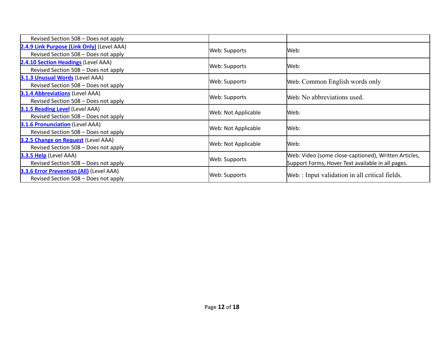| Revised Section 508 - Does not apply                                                    |                      |                                                                                                           |
|-----------------------------------------------------------------------------------------|----------------------|-----------------------------------------------------------------------------------------------------------|
| 2.4.9 Link Purpose (Link Only) (Level AAA)<br>Revised Section 508 - Does not apply      | <b>Web: Supports</b> | lWeb:                                                                                                     |
| 2.4.10 Section Headings (Level AAA)<br>Revised Section 508 - Does not apply             | <b>Web: Supports</b> | lWeb:                                                                                                     |
| <b>3.1.3 Unusual Words (Level AAA)</b><br>Revised Section 508 - Does not apply          | Web: Supports        | Web: Common English words only                                                                            |
| 3.1.4 Abbreviations (Level AAA)<br>Revised Section 508 - Does not apply                 | <b>Web: Supports</b> | Web: No abbreviations used.                                                                               |
| <b>3.1.5 Reading Level (Level AAA)</b><br>Revised Section 508 - Does not apply          | Web: Not Applicable  | Web:                                                                                                      |
| <b>3.1.6 Pronunciation</b> (Level AAA)<br>Revised Section 508 - Does not apply          | Web: Not Applicable  | lWeb:                                                                                                     |
| 3.2.5 Change on Request (Level AAA)<br>Revised Section 508 - Does not apply             | Web: Not Applicable  | lWeb:                                                                                                     |
| 3.3.5 Help (Level AAA)<br>Revised Section 508 - Does not apply                          | Web: Supports        | Web: Video (some close-captioned), Written Articles,<br>Support Forms, Hover Text available in all pages. |
| <b>3.3.6 Error Prevention (All)</b> (Level AAA)<br>Revised Section 508 - Does not apply | <b>Web: Supports</b> | Web: : Input validation in all critical fields.                                                           |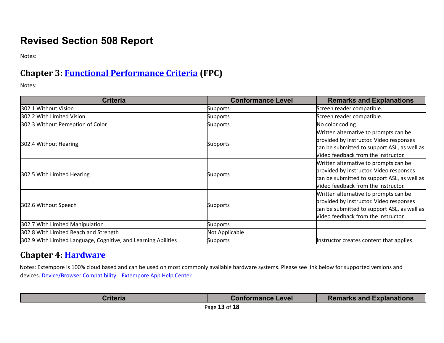## **Revised Section 508 Report**

Notes:

## **Chapter 3: Functional [Performance](https://www.access-board.gov/guidelines-and-standards/communications-and-it/about-the-ict-refresh/final-rule/text-of-the-standards-and-guidelines#302-functional-performance-criteria) Criteria (FPC)**

Notes:

| <b>Criteria</b>                                                | <b>Conformance Level</b> | <b>Remarks and Explanations</b>             |
|----------------------------------------------------------------|--------------------------|---------------------------------------------|
| 302.1 Without Vision                                           | Supports                 | Screen reader compatible.                   |
| 302.2 With Limited Vision                                      | Supports                 | Screen reader compatible.                   |
| 302.3 Without Perception of Color                              | <b>Supports</b>          | No color coding                             |
|                                                                |                          | Written alternative to prompts can be       |
|                                                                |                          | provided by instructor. Video responses     |
| 302.4 Without Hearing                                          | Supports                 | can be submitted to support ASL, as well as |
|                                                                |                          | Video feedback from the instructor.         |
|                                                                |                          | Written alternative to prompts can be       |
|                                                                |                          | provided by instructor. Video responses     |
| 302.5 With Limited Hearing                                     | <b>Supports</b>          | can be submitted to support ASL, as well as |
|                                                                |                          | Video feedback from the instructor.         |
|                                                                |                          | Written alternative to prompts can be       |
|                                                                |                          | provided by instructor. Video responses     |
| 302.6 Without Speech                                           | <b>Supports</b>          | can be submitted to support ASL, as well as |
|                                                                |                          | Video feedback from the instructor.         |
| 302.7 With Limited Manipulation                                | Supports                 |                                             |
| 302.8 With Limited Reach and Strength                          | Not Applicable           |                                             |
| 302.9 With Limited Language, Cognitive, and Learning Abilities | Supports                 | Instructor creates content that applies.    |

#### **Chapter 4: [Hardware](https://www.access-board.gov/guidelines-and-standards/communications-and-it/about-the-ict-refresh/final-rule/text-of-the-standards-and-guidelines#401-general)**

Notes: Extempore is 100% cloud based and can be used on most commonly available hardware systems. Please see link below for supported versions and devices. [Device/Browser](https://help.extemporeapp.com/en/articles/4555139-device-browser-compatibility) Compatibility | Extempore App Help Center

| ∶riteria | <b>Conformance Level</b> | <b>Remarks and Explanations</b> |
|----------|--------------------------|---------------------------------|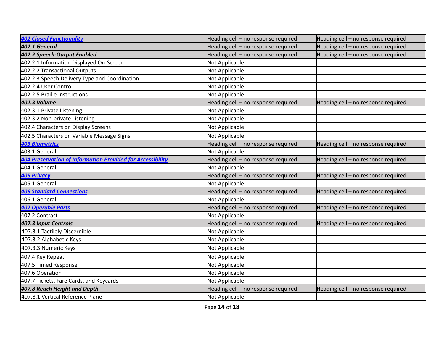| <b>402 Closed Functionality</b>                            | Heading cell - no response required | Heading cell - no response required |
|------------------------------------------------------------|-------------------------------------|-------------------------------------|
| 402.1 General                                              | Heading cell - no response required | Heading cell - no response required |
| 402.2 Speech-Output Enabled                                | Heading cell - no response required | Heading cell - no response required |
| 402.2.1 Information Displayed On-Screen                    | Not Applicable                      |                                     |
| 402.2.2 Transactional Outputs                              | Not Applicable                      |                                     |
| 402.2.3 Speech Delivery Type and Coordination              | Not Applicable                      |                                     |
| 402.2.4 User Control                                       | Not Applicable                      |                                     |
| 402.2.5 Braille Instructions                               | Not Applicable                      |                                     |
| 402.3 Volume                                               | Heading cell - no response required | Heading cell - no response required |
| 402.3.1 Private Listening                                  | Not Applicable                      |                                     |
| 402.3.2 Non-private Listening                              | Not Applicable                      |                                     |
| 402.4 Characters on Display Screens                        | Not Applicable                      |                                     |
| 402.5 Characters on Variable Message Signs                 | Not Applicable                      |                                     |
| <b>403 Biometrics</b>                                      | Heading cell - no response required | Heading cell - no response required |
| 403.1 General                                              | Not Applicable                      |                                     |
| 404 Preservation of Information Provided for Accessibility | Heading cell - no response required | Heading cell - no response required |
| 404.1 General                                              | Not Applicable                      |                                     |
| <b>405 Privacy</b>                                         | Heading cell - no response required | Heading cell - no response required |
| 405.1 General                                              | Not Applicable                      |                                     |
| <b>406 Standard Connections</b>                            | Heading cell - no response required | Heading cell - no response required |
| 406.1 General                                              | Not Applicable                      |                                     |
| <b>407 Operable Parts</b>                                  | Heading cell - no response required | Heading cell - no response required |
| 407.2 Contrast                                             | Not Applicable                      |                                     |
| 407.3 Input Controls                                       | Heading cell - no response required | Heading cell - no response required |
| 407.3.1 Tactilely Discernible                              | Not Applicable                      |                                     |
| 407.3.2 Alphabetic Keys                                    | Not Applicable                      |                                     |
| 407.3.3 Numeric Keys                                       | Not Applicable                      |                                     |
| 407.4 Key Repeat                                           | Not Applicable                      |                                     |
| 407.5 Timed Response                                       | Not Applicable                      |                                     |
| 407.6 Operation                                            | Not Applicable                      |                                     |
| 407.7 Tickets, Fare Cards, and Keycards                    | Not Applicable                      |                                     |
| 407.8 Reach Height and Depth                               | Heading cell - no response required | Heading cell - no response required |
| 407.8.1 Vertical Reference Plane                           | Not Applicable                      |                                     |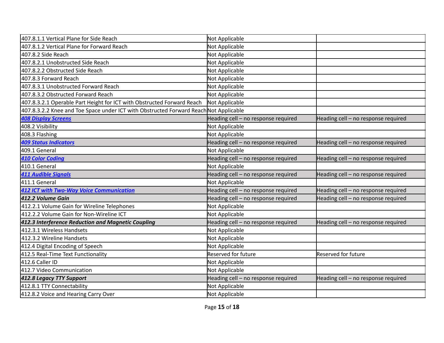| 407.8.1.1 Vertical Plane for Side Reach                                | Not Applicable                      |                                     |
|------------------------------------------------------------------------|-------------------------------------|-------------------------------------|
| 407.8.1.2 Vertical Plane for Forward Reach                             | Not Applicable                      |                                     |
| 407.8.2 Side Reach                                                     | Not Applicable                      |                                     |
| 407.8.2.1 Unobstructed Side Reach                                      | Not Applicable                      |                                     |
| 407.8.2.2 Obstructed Side Reach                                        | Not Applicable                      |                                     |
| 407.8.3 Forward Reach                                                  | Not Applicable                      |                                     |
| 407.8.3.1 Unobstructed Forward Reach                                   | Not Applicable                      |                                     |
| 407.8.3.2 Obstructed Forward Reach                                     | Not Applicable                      |                                     |
| 407.8.3.2.1 Operable Part Height for ICT with Obstructed Forward Reach | Not Applicable                      |                                     |
| 407.8.3.2.2 Knee and Toe Space under ICT with Obstructed Forward Reach | Not Applicable                      |                                     |
| <b>408 Display Screens</b>                                             | Heading cell - no response required | Heading cell - no response required |
| 408.2 Visibility                                                       | Not Applicable                      |                                     |
| 408.3 Flashing                                                         | Not Applicable                      |                                     |
| <b>409 Status Indicators</b>                                           | Heading cell - no response required | Heading cell - no response required |
| 409.1 General                                                          | Not Applicable                      |                                     |
| <b>410 Color Coding</b>                                                | Heading cell - no response required | Heading cell - no response required |
| 410.1 General                                                          | Not Applicable                      |                                     |
| <b>411 Audible Signals</b>                                             | Heading cell - no response required | Heading cell - no response required |
| 411.1 General                                                          | Not Applicable                      |                                     |
| <b>412 ICT with Two-Way Voice Communication</b>                        | Heading cell - no response required | Heading cell - no response required |
| 412.2 Volume Gain                                                      | Heading cell - no response required | Heading cell - no response required |
| 412.2.1 Volume Gain for Wireline Telephones                            | Not Applicable                      |                                     |
| 412.2.2 Volume Gain for Non-Wireline ICT                               | Not Applicable                      |                                     |
| 412.3 Interference Reduction and Magnetic Coupling                     | Heading cell - no response required | Heading cell - no response required |
| 412.3.1 Wireless Handsets                                              | Not Applicable                      |                                     |
| 412.3.2 Wireline Handsets                                              | Not Applicable                      |                                     |
| 412.4 Digital Encoding of Speech                                       | Not Applicable                      |                                     |
| 412.5 Real-Time Text Functionality                                     | <b>Reserved for future</b>          | <b>Reserved for future</b>          |
| 412.6 Caller ID                                                        | Not Applicable                      |                                     |
| 412.7 Video Communication                                              | Not Applicable                      |                                     |
| 412.8 Legacy TTY Support                                               | Heading cell - no response required | Heading cell - no response required |
| 412.8.1 TTY Connectability                                             | Not Applicable                      |                                     |
| 412.8.2 Voice and Hearing Carry Over                                   | Not Applicable                      |                                     |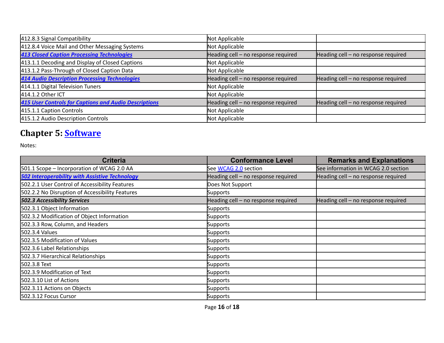| 412.8.3 Signal Compatibility                          | Not Applicable                      |                                       |
|-------------------------------------------------------|-------------------------------------|---------------------------------------|
| 412.8.4 Voice Mail and Other Messaging Systems        | Not Applicable                      |                                       |
| <b>413 Closed Caption Processing Technologies</b>     | Heading cell - no response required | Heading cell $-$ no response required |
| 413.1.1 Decoding and Display of Closed Captions       | Not Applicable                      |                                       |
| 413.1.2 Pass-Through of Closed Caption Data           | Not Applicable                      |                                       |
| <b>414 Audio Description Processing Technologies</b>  | Heading cell - no response required | Heading cell $-$ no response required |
| 414.1.1 Digital Television Tuners                     | Not Applicable                      |                                       |
| 414.1.2 Other ICT                                     | Not Applicable                      |                                       |
| 415 User Controls for Captions and Audio Descriptions | Heading cell - no response required | Heading cell $-$ no response required |
| 415.1.1 Caption Controls                              | Not Applicable                      |                                       |
| 415.1.2 Audio Description Controls                    | Not Applicable                      |                                       |

## **Chapter 5: [Software](https://www.access-board.gov/guidelines-and-standards/communications-and-it/about-the-ict-refresh/final-rule/text-of-the-standards-and-guidelines#501-general)**

| <b>Criteria</b>                                       | <b>Conformance Level</b>            | <b>Remarks and Explanations</b>     |
|-------------------------------------------------------|-------------------------------------|-------------------------------------|
| 501.1 Scope - Incorporation of WCAG 2.0 AA            | See WCAG 2.0 section                | See information in WCAG 2.0 section |
| <b>502 Interoperability with Assistive Technology</b> | Heading cell - no response required | Heading cell - no response required |
| 502.2.1 User Control of Accessibility Features        | Does Not Support                    |                                     |
| 502.2.2 No Disruption of Accessibility Features       | Supports                            |                                     |
| <b>502.3 Accessibility Services</b>                   | Heading cell - no response required | Heading cell - no response required |
| 502.3.1 Object Information                            | Supports                            |                                     |
| 502.3.2 Modification of Object Information            | <b>Supports</b>                     |                                     |
| 502.3.3 Row, Column, and Headers                      | <b>Supports</b>                     |                                     |
| 502.3.4 Values                                        | <b>Supports</b>                     |                                     |
| 502.3.5 Modification of Values                        | <b>Supports</b>                     |                                     |
| 502.3.6 Label Relationships                           | <b>Supports</b>                     |                                     |
| 502.3.7 Hierarchical Relationships                    | <b>Supports</b>                     |                                     |
| 502.3.8 Text                                          | <b>Supports</b>                     |                                     |
| 502.3.9 Modification of Text                          | <b>Supports</b>                     |                                     |
| 502.3.10 List of Actions                              | <b>Supports</b>                     |                                     |
| 502.3.11 Actions on Objects                           | <b>Supports</b>                     |                                     |
| 502.3.12 Focus Cursor                                 | Supports                            |                                     |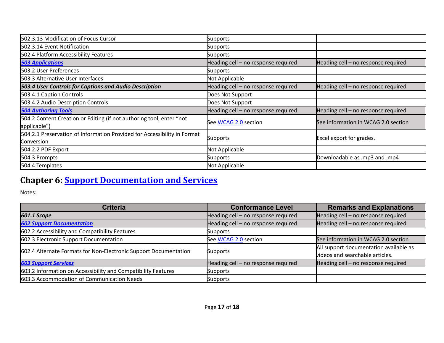| 502.3.13 Modification of Focus Cursor                                                  | <b>Supports</b>                       |                                     |
|----------------------------------------------------------------------------------------|---------------------------------------|-------------------------------------|
| 502.3.14 Event Notification                                                            | <b>Supports</b>                       |                                     |
| 502.4 Platform Accessibility Features                                                  | Supports                              |                                     |
| <b>503 Applications</b>                                                                | Heading cell - no response required   | Heading cell - no response required |
| 503.2 User Preferences                                                                 | Supports                              |                                     |
| 503.3 Alternative User Interfaces                                                      | Not Applicable                        |                                     |
| 503.4 User Controls for Captions and Audio Description                                 | Heading cell $-$ no response required | Heading cell - no response required |
| 503.4.1 Caption Controls                                                               | Does Not Support                      |                                     |
| 503.4.2 Audio Description Controls                                                     | Does Not Support                      |                                     |
| <b>504 Authoring Tools</b>                                                             | Heading cell - no response required   | Heading cell - no response required |
| 504.2 Content Creation or Editing (if not authoring tool, enter "not<br>applicable")   | See WCAG 2.0 section                  | See information in WCAG 2.0 section |
| 504.2.1 Preservation of Information Provided for Accessibility in Format<br>Conversion | Supports                              | Excel export for grades.            |
| 504.2.2 PDF Export                                                                     | Not Applicable                        |                                     |
| 504.3 Prompts                                                                          | Supports                              | Downloadable as .mp3 and .mp4       |
| 504.4 Templates                                                                        | Not Applicable                        |                                     |

## **Chapter 6: Support [Documentation](https://www.access-board.gov/guidelines-and-standards/communications-and-it/about-the-ict-refresh/final-rule/text-of-the-standards-and-guidelines#601-general) and Services**

| <b>Criteria</b>                                                  | <b>Conformance Level</b>            | <b>Remarks and Explanations</b>                                           |
|------------------------------------------------------------------|-------------------------------------|---------------------------------------------------------------------------|
| <b>601.1 Scope</b>                                               | Heading cell - no response required | Heading cell - no response required                                       |
| <b>602 Support Documentation</b>                                 | Heading cell - no response required | Heading cell $-$ no response required                                     |
| 602.2 Accessibility and Compatibility Features                   | Supports                            |                                                                           |
| 602.3 Electronic Support Documentation                           | See WCAG 2.0 section                | See information in WCAG 2.0 section                                       |
| 602.4 Alternate Formats for Non-Electronic Support Documentation | Supports                            | All support documentation available as<br>videos and searchable articles. |
| <b>603 Support Services</b>                                      | Heading cell - no response required | Heading cell - no response required                                       |
| 603.2 Information on Accessibility and Compatibility Features    | <b>Supports</b>                     |                                                                           |
| 603.3 Accommodation of Communication Needs                       | Supports                            |                                                                           |